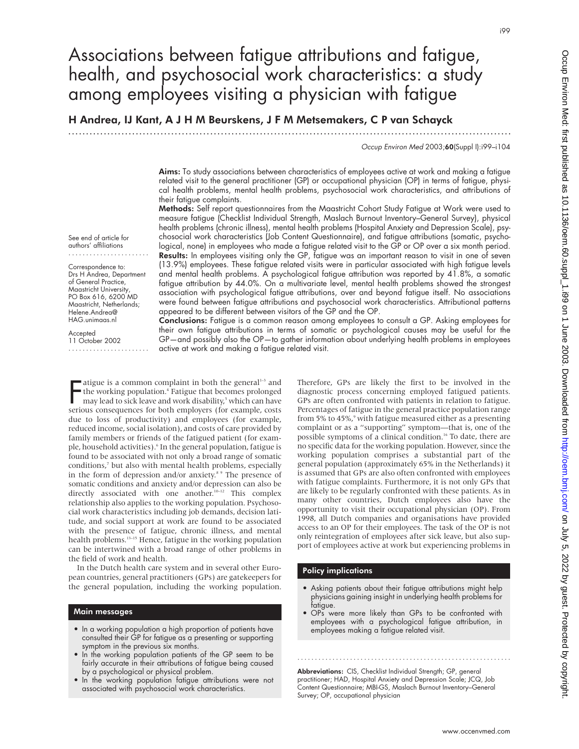# Associations between fatigue attributions and fatigue, health, and psychosocial work characteristics: a study among employees visiting a physician with fatigue

H Andrea, IJ Kant, A J H M Beurskens, J F M Metsemakers, C P van Schayck

.............................................................................................................................

Occup Environ Med 2003;60(Suppl I):i99–i104

Aims: To study associations between characteristics of employees active at work and making a fatigue related visit to the general practitioner (GP) or occupational physician (OP) in terms of fatigue, physical health problems, mental health problems, psychosocial work characteristics, and attributions of their fatigue complaints.

Methods: Self report questionnaires from the Maastricht Cohort Study Fatigue at Work were used to measure fatigue (Checklist Individual Strength, Maslach Burnout Inventory–General Survey), physical health problems (chronic illness), mental health problems (Hospital Anxiety and Depression Scale), psychosocial work characteristics (Job Content Questionnaire), and fatigue attributions (somatic, psychological, none) in employees who made a fatigue related visit to the GP or OP over a six month period. Results: In employees visiting only the GP, fatigue was an important reason to visit in one of seven (13.9%) employees. These fatigue related visits were in particular associated with high fatigue levels and mental health problems. A psychological fatigue attribution was reported by 41.8%, a somatic fatigue attribution by 44.0%. On a multivariate level, mental health problems showed the strongest association with psychological fatigue attributions, over and beyond fatigue itself. No associations were found between fatigue attributions and psychosocial work characteristics. Attributional patterns appeared to be different between visitors of the GP and the OP.

Conclusions: Fatigue is a common reason among employees to consult a GP. Asking employees for their own fatigue attributions in terms of somatic or psychological causes may be useful for the GP—and possibly also the OP—to gather information about underlying health problems in employees active at work and making a fatigue related visit.

Fratigue is a common complaint in both the general<sup>1-3</sup> and<br>the working population.<sup>4</sup> Fatigue that becomes prolonged<br>may lead to sick leave and work disability,<sup>5</sup> which can have<br>serious consequences for both employers (f the working population.<sup>4</sup> Fatigue that becomes prolonged may lead to sick leave and work disability,<sup>5</sup> which can have serious consequences for both employers (for example, costs due to loss of productivity) and employees (for example, reduced income, social isolation), and costs of care provided by family members or friends of the fatigued patient (for example, household activities).<sup>6</sup> In the general population, fatigue is found to be associated with not only a broad range of somatic conditions,<sup>7</sup> but also with mental health problems, especially in the form of depression and/or anxiety.<sup>8</sup> <sup>9</sup> The presence of somatic conditions and anxiety and/or depression can also be directly associated with one another.<sup>10-12</sup> This complex relationship also applies to the working population. Psychosocial work characteristics including job demands, decision latitude, and social support at work are found to be associated with the presence of fatigue, chronic illness, and mental health problems.<sup>13-15</sup> Hence, fatigue in the working population can be intertwined with a broad range of other problems in the field of work and health.

In the Dutch health care system and in several other European countries, general practitioners (GPs) are gatekeepers for the general population, including the working population.

## Main messages

- In a working population a high proportion of patients have consulted their GP for fatigue as a presenting or supporting symptom in the previous six months.
- In the working population patients of the GP seem to be fairly accurate in their attributions of fatigue being caused by a psychological or physical problem.
- In the working population fatigue attributions were not associated with psychosocial work characteristics.

Therefore, GPs are likely the first to be involved in the diagnostic process concerning employed fatigued patients. GPs are often confronted with patients in relation to fatigue. Percentages of fatigue in the general practice population range from 5% to 45%,<sup>9</sup> with fatigue measured either as a presenting complaint or as a "supporting" symptom—that is, one of the possible symptoms of a clinical condition.16 To date, there are no specific data for the working population. However, since the working population comprises a substantial part of the general population (approximately 65% in the Netherlands) it is assumed that GPs are also often confronted with employees with fatigue complaints. Furthermore, it is not only GPs that are likely to be regularly confronted with these patients. As in many other countries, Dutch employees also have the opportunity to visit their occupational physician (OP). From 1998, all Dutch companies and organisations have provided access to an OP for their employees. The task of the OP is not only reintegration of employees after sick leave, but also support of employees active at work but experiencing problems in

## Policy implications

- Asking patients about their fatigue attributions might help physicians gaining insight in underlying health problems for fatigue.
- OPs were more likely than GPs to be confronted with employees with a psychological fatigue attribution, in employees making a fatigue related visit.

.............................................................

Abbreviations: CIS, Checklist Individual Strength; GP, general practitioner; HAD, Hospital Anxiety and Depression Scale; JCQ, Job Content Questionnaire; MBI-GS, Maslach Burnout Inventory–General Survey; OP, occupational physician

See end of article for authors' affiliations .......................

Correspondence to: Drs H Andrea, Department of General Practice, Maastricht University, PO Box 616, 6200 MD Maastricht, Netherlands; Helene.Andrea@ HAG.unimaas.nl

Accepted 11 October 2002 .......................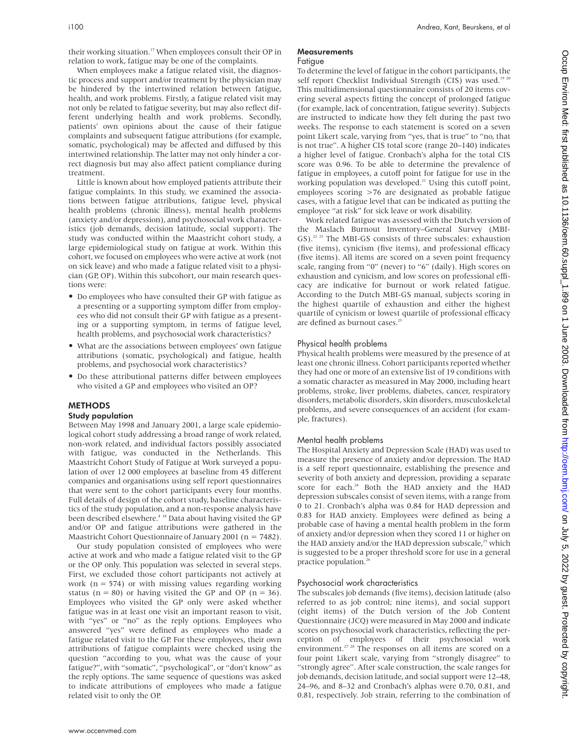their working situation.<sup>17</sup> When employees consult their OP in relation to work, fatigue may be one of the complaints.

When employees make a fatigue related visit, the diagnostic process and support and/or treatment by the physician may be hindered by the intertwined relation between fatigue, health, and work problems. Firstly, a fatigue related visit may not only be related to fatigue severity, but may also reflect different underlying health and work problems. Secondly, patients' own opinions about the cause of their fatigue complaints and subsequent fatigue attributions (for example, somatic, psychological) may be affected and diffused by this intertwined relationship. The latter may not only hinder a correct diagnosis but may also affect patient compliance during treatment.

Little is known about how employed patients attribute their fatigue complaints. In this study, we examined the associations between fatigue attributions, fatigue level, physical health problems (chronic illness), mental health problems (anxiety and/or depression), and psychosocial work characteristics (job demands, decision latitude, social support). The study was conducted within the Maastricht cohort study, a large epidemiological study on fatigue at work. Within this cohort, we focused on employees who were active at work (not on sick leave) and who made a fatigue related visit to a physician (GP, OP). Within this subcohort, our main research questions were:

- Do employees who have consulted their GP with fatigue as a presenting or a supporting symptom differ from employees who did not consult their GP with fatigue as a presenting or a supporting symptom, in terms of fatigue level, health problems, and psychosocial work characteristics?
- What are the associations between employees' own fatigue attributions (somatic, psychological) and fatigue, health problems, and psychosocial work characteristics?
- Do these attributional patterns differ between employees who visited a GP and employees who visited an OP?

## METHODS

## Study population

Between May 1998 and January 2001, a large scale epidemiological cohort study addressing a broad range of work related, non-work related, and individual factors possibly associated with fatigue, was conducted in the Netherlands. This Maastricht Cohort Study of Fatigue at Work surveyed a population of over 12 000 employees at baseline from 45 different companies and organisations using self report questionnaires that were sent to the cohort participants every four months. Full details of design of the cohort study, baseline characteristics of the study population, and a non-response analysis have been described elsewhere.<sup>4 18</sup> Data about having visited the GP and/or OP and fatigue attributions were gathered in the Maastricht Cohort Questionnaire of January 2001 (n = 7482).

Our study population consisted of employees who were active at work and who made a fatigue related visit to the GP or the OP only. This population was selected in several steps. First, we excluded those cohort participants not actively at work ( $n = 574$ ) or with missing values regarding working status ( $n = 80$ ) or having visited the GP and OP ( $n = 36$ ). Employees who visited the GP only were asked whether fatigue was in at least one visit an important reason to visit, with "yes" or "no" as the reply options. Employees who answered "yes" were defined as employees who made a fatigue related visit to the GP. For these employees, their own attributions of fatigue complaints were checked using the question "according to you, what was the cause of your fatigue?", with "somatic", "psychological", or "don't know" as the reply options. The same sequence of questions was asked to indicate attributions of employees who made a fatigue related visit to only the OP.

## **Measurements**

#### **Fatiaue**

To determine the level of fatigue in the cohort participants, the self report Checklist Individual Strength (CIS) was used.<sup>19</sup> This multidimensional questionnaire consists of 20 items covering several aspects fitting the concept of prolonged fatigue (for example, lack of concentration, fatigue severity). Subjects are instructed to indicate how they felt during the past two weeks. The response to each statement is scored on a seven point Likert scale, varying from "yes, that is true" to "no, that is not true". A higher CIS total score (range 20–140) indicates a higher level of fatigue. Cronbach's alpha for the total CIS score was 0.96. To be able to determine the prevalence of fatigue in employees, a cutoff point for fatigue for use in the working population was developed.<sup>21</sup> Using this cutoff point, employees scoring >76 are designated as probable fatigue cases, with a fatigue level that can be indicated as putting the employee "at risk" for sick leave or work disability.

Work related fatigue was assessed with the Dutch version of the Maslach Burnout Inventory–General Survey (MBI-GS).<sup>22 23</sup> The MBI-GS consists of three subscales: exhaustion (five items), cynicism (five items), and professional efficacy (five items). All items are scored on a seven point frequency scale, ranging from "0" (never) to "6" (daily). High scores on exhaustion and cynicism, and low scores on professional efficacy are indicative for burnout or work related fatigue. According to the Dutch MBI-GS manual, subjects scoring in the highest quartile of exhaustion and either the highest quartile of cynicism or lowest quartile of professional efficacy are defined as burnout cases.<sup>23</sup>

## Physical health problems

Physical health problems were measured by the presence of at least one chronic illness. Cohort participants reported whether they had one or more of an extensive list of 19 conditions with a somatic character as measured in May 2000, including heart problems, stroke, liver problems, diabetes, cancer, respiratory disorders, metabolic disorders, skin disorders, musculoskeletal problems, and severe consequences of an accident (for example, fractures).

## Mental health problems

The Hospital Anxiety and Depression Scale (HAD) was used to measure the presence of anxiety and/or depression. The HAD is a self report questionnaire, establishing the presence and severity of both anxiety and depression, providing a separate score for each.<sup>24</sup> Both the HAD anxiety and the HAD depression subscales consist of seven items, with a range from 0 to 21. Cronbach's alpha was 0.84 for HAD depression and 0.83 for HAD anxiety. Employees were defined as being a probable case of having a mental health problem in the form of anxiety and/or depression when they scored 11 or higher on the HAD anxiety and/or the HAD depression subscale, $25$  which is suggested to be a proper threshold score for use in a general practice population.<sup>26</sup>

## Psychosocial work characteristics

The subscales job demands (five items), decision latitude (also referred to as job control; nine items), and social support (eight items) of the Dutch version of the Job Content Questionnaire (JCQ) were measured in May 2000 and indicate scores on psychosocial work characteristics, reflecting the perception of employees of their psychosocial work environment.<sup>27</sup><sup>28</sup> The responses on all items are scored on a four point Likert scale, varying from "strongly disagree" to "strongly agree". After scale construction, the scale ranges for job demands, decision latitude, and social support were 12–48, 24–96, and 8–32 and Cronbach's alphas were 0.70, 0.81, and 0.81, respectively. Job strain, referring to the combination of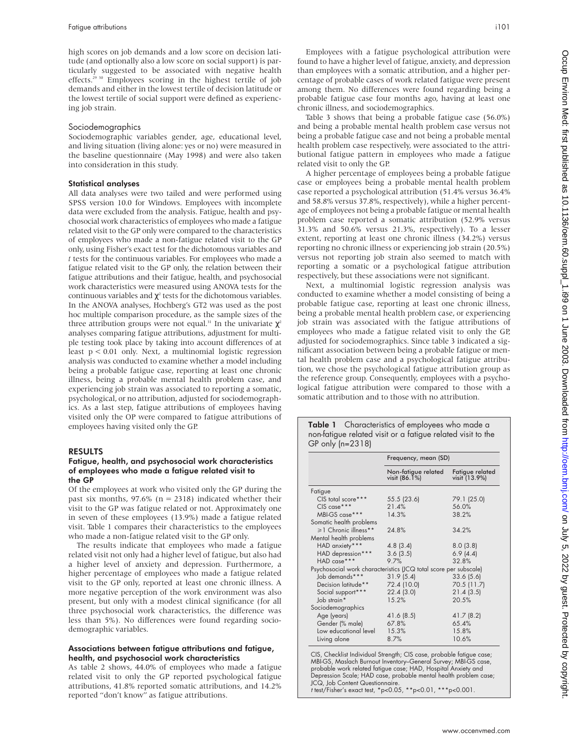high scores on job demands and a low score on decision latitude (and optionally also a low score on social support) is particularly suggested to be associated with negative health effects.29 30 Employees scoring in the highest tertile of job demands and either in the lowest tertile of decision latitude or the lowest tertile of social support were defined as experiencing job strain.

#### Sociodemographics

Sociodemographic variables gender, age, educational level, and living situation (living alone: yes or no) were measured in the baseline questionnaire (May 1998) and were also taken into consideration in this study.

#### Statistical analyses

All data analyses were two tailed and were performed using SPSS version 10.0 for Windows. Employees with incomplete data were excluded from the analysis. Fatigue, health and psychosocial work characteristics of employees who made a fatigue related visit to the GP only were compared to the characteristics of employees who made a non-fatigue related visit to the GP only, using Fisher's exact test for the dichotomous variables and *t* tests for the continuous variables. For employees who made a fatigue related visit to the GP only, the relation between their fatigue attributions and their fatigue, health, and psychosocial work characteristics were measured using ANOVA tests for the continuous variables and  $\chi^2$  tests for the dichotomous variables. In the ANOVA analyses, Hochberg's GT2 was used as the post hoc multiple comparison procedure, as the sample sizes of the three attribution groups were not equal.<sup>31</sup> In the univariate  $\chi^2$ analyses comparing fatigue attributions, adjustment for multiple testing took place by taking into account differences of at least p < 0.01 only. Next, a multinomial logistic regression analysis was conducted to examine whether a model including being a probable fatigue case, reporting at least one chronic illness, being a probable mental health problem case, and experiencing job strain was associated to reporting a somatic, psychological, or no attribution, adjusted for sociodemographics. As a last step, fatigue attributions of employees having visited only the OP were compared to fatigue attributions of employees having visited only the GP.

## RESULTS

## Fatigue, health, and psychosocial work characteristics of employees who made a fatigue related visit to the GP

Of the employees at work who visited only the GP during the past six months, 97.6% ( $n = 2318$ ) indicated whether their visit to the GP was fatigue related or not. Approximately one in seven of these employees (13.9%) made a fatigue related visit. Table 1 compares their characteristics to the employees who made a non-fatigue related visit to the GP only.

The results indicate that employees who made a fatigue related visit not only had a higher level of fatigue, but also had a higher level of anxiety and depression. Furthermore, a higher percentage of employees who made a fatigue related visit to the GP only, reported at least one chronic illness. A more negative perception of the work environment was also present, but only with a modest clinical significance (for all three psychosocial work characteristics, the difference was less than 5%). No differences were found regarding sociodemographic variables.

## Associations between fatigue attributions and fatigue, health, and psychosocial work characteristics

As table 2 shows, 44.0% of employees who made a fatigue related visit to only the GP reported psychological fatigue attributions, 41.8% reported somatic attributions, and 14.2% reported "don't know" as fatigue attributions.

Employees with a fatigue psychological attribution were found to have a higher level of fatigue, anxiety, and depression than employees with a somatic attribution, and a higher percentage of probable cases of work related fatigue were present among them. No differences were found regarding being a probable fatigue case four months ago, having at least one chronic illness, and sociodemographics.

Table 3 shows that being a probable fatigue case (56.0%) and being a probable mental health problem case versus not being a probable fatigue case and not being a probable mental health problem case respectively, were associated to the attributional fatigue pattern in employees who made a fatigue related visit to only the GP.

A higher percentage of employees being a probable fatigue case or employees being a probable mental health problem case reported a psychological attribution (51.4% versus 36.4% and 58.8% versus 37.8%, respectively), while a higher percentage of employees not being a probable fatigue or mental health problem case reported a somatic attribution (52.9% versus 31.3% and 50.6% versus 21.3%, respectively). To a lesser extent, reporting at least one chronic illness (34.2%) versus reporting no chronic illness or experiencing job strain (20.5%) versus not reporting job strain also seemed to match with reporting a somatic or a psychological fatigue attribution respectively, but these associations were not significant.

Next, a multinomial logistic regression analysis was conducted to examine whether a model consisting of being a probable fatigue case, reporting at least one chronic illness, being a probable mental health problem case, or experiencing job strain was associated with the fatigue attributions of employees who made a fatigue related visit to only the GP, adjusted for sociodemographics. Since table 3 indicated a significant association between being a probable fatigue or mental health problem case and a psychological fatigue attribution, we chose the psychological fatigue attribution group as the reference group. Consequently, employees with a psychological fatigue attribution were compared to those with a somatic attribution and to those with no attribution.

Table 1 Characteristics of employees who made a non-fatigue related visit or a fatigue related visit to the GP only (n=2318)

|                                                                  | Frequency, mean (SD)                 |                                  |  |
|------------------------------------------------------------------|--------------------------------------|----------------------------------|--|
|                                                                  | Non-fatigue related<br>visit (86.1%) | Fatigue related<br>visit (13.9%) |  |
| Fatigue                                                          |                                      |                                  |  |
| CIS total score***                                               | 55.5 (23.6)                          | 79.1 (25.0)                      |  |
| $CIS case***$                                                    | 21.4%                                | 56.0%                            |  |
| MBI-GS case***                                                   | 14.3%                                | 38.2%                            |  |
| Somatic health problems                                          |                                      |                                  |  |
| ≥1 Chronic illness**                                             | 24.8%                                | 34.2%                            |  |
| Mental health problems                                           |                                      |                                  |  |
| HAD anxiety***                                                   | 4.8(3.4)                             | 8.0(3.8)                         |  |
| HAD depression***                                                | 3.6(3.5)                             | 6.9(4.4)                         |  |
| HAD case***                                                      | 97%                                  | 32.8%                            |  |
| Psychosocial work characteristics (JCQ total score per subscale) |                                      |                                  |  |
| Job demands***                                                   | 31.9(5.4)                            | 33.6(5.6)                        |  |
| Decision latitude**                                              | 72.4 (10.0)                          | 70.5 (11.7)                      |  |
| Social support***                                                | 22.4 (3.0)                           | 21.4(3.5)                        |  |
| Job strain*                                                      | 15.2%                                | 20.5%                            |  |
| Sociodemographics                                                |                                      |                                  |  |
| Age (years)                                                      | 41.6 (8.5)                           | 41.7 (8.2)                       |  |
| Gender (% male)                                                  | 67.8%                                | 65.4%                            |  |
| Low educational level                                            | 15.3%                                | 15.8%                            |  |
| Living alone                                                     | 8.7%                                 | 10.6%                            |  |

CIS, Checklist Individual Strength; CIS case, probable fatigue case; MBI-GS, Maslach Burnout Inventory–General Survey; MBI-GS case, probable work related fatigue case; HAD, Hospital Anxiety and Depression Scale; HAD case, probable mental health problem case; JCQ, Job Content Questionnaire

<sup>t</sup> test/Fisher's exact test, \*p<0.05, \*\*p<0.01, \*\*\*p<0.001.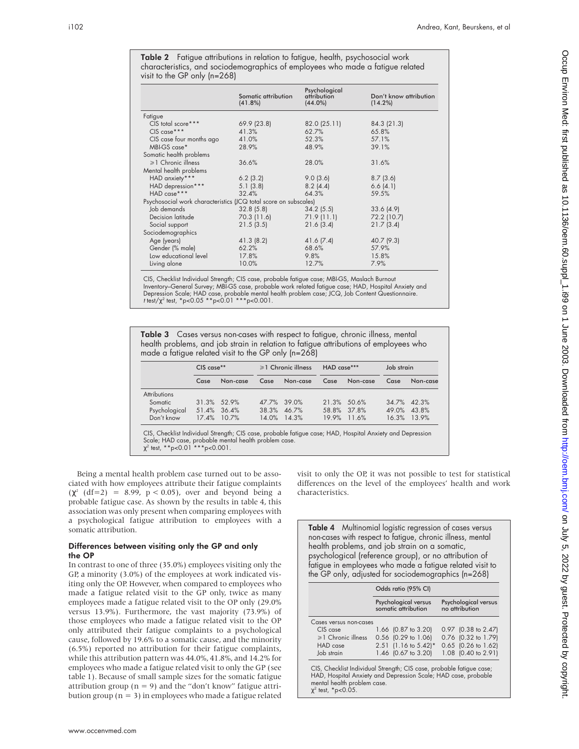Table 2 Fatigue attributions in relation to fatigue, health, psychosocial work characteristics, and sociodemographics of employees who made a fatigue related visit to the GP only (n=268)

|                                                                  | Somatic attribution<br>(41.8%) | Psychological<br>attribution<br>$(44.0\%)$ | Don't know attribution<br>$(14.2\%)$ |  |  |  |  |
|------------------------------------------------------------------|--------------------------------|--------------------------------------------|--------------------------------------|--|--|--|--|
| Fatigue                                                          |                                |                                            |                                      |  |  |  |  |
| CIS total score***                                               | 69.9 (23.8)                    | 82.0 (25.11)                               | 84.3(21.3)                           |  |  |  |  |
| $CIS case***$                                                    | 41.3%                          | 62.7%                                      | 65.8%                                |  |  |  |  |
| CIS case four months ago                                         | 41.0%                          | 52.3%                                      | 57.1%                                |  |  |  |  |
| $MBLGS$ case <sup><math>*</math></sup>                           | 28.9%                          | 48.9%                                      | 39.1%                                |  |  |  |  |
| Somatic health problems                                          |                                |                                            |                                      |  |  |  |  |
| $\geq 1$ Chronic illness                                         | 36.6%                          | 28.0%                                      | 31.6%                                |  |  |  |  |
| Mental health problems                                           |                                |                                            |                                      |  |  |  |  |
| HAD anxiety***                                                   | $6.2$ (3.2)                    | 9.0(3.6)                                   | 8.7(3.6)                             |  |  |  |  |
| HAD depression***                                                | 5.1(3.8)                       | 8.2(4.4)                                   | 6.6(4.1)                             |  |  |  |  |
| $HAD \ncase***$                                                  | 32.4%                          | 64.3%                                      | 59.5%                                |  |  |  |  |
| Psychosocial work characteristics (JCQ total score on subscales) |                                |                                            |                                      |  |  |  |  |
| Job demands                                                      | 32.8(5.8)                      | 34.2(5.5)                                  | 33.6(4.9)                            |  |  |  |  |
| Decision latitude                                                | 70.3 (11.6)                    | $71.9$ (11.1)                              | 72.2 (10.7)                          |  |  |  |  |
| Social support                                                   | 21.5(3.5)                      | 21.6(3.4)                                  | 21.7(3.4)                            |  |  |  |  |
| Sociodemographics                                                |                                |                                            |                                      |  |  |  |  |
| Age (years)                                                      | 41.3(8.2)                      | 41.6(7.4)                                  | 40.7 (9.3)                           |  |  |  |  |
| Gender (% male)                                                  | 62.2%                          | 68.6%                                      | 57.9%                                |  |  |  |  |
| Low educational level                                            | 17.8%                          | 9.8%                                       | 15.8%                                |  |  |  |  |
| Living alone                                                     | 10.0%                          | 12.7%                                      | 7.9%                                 |  |  |  |  |

CIS, Checklist Individual Strength; CIS case, probable fatigue case; MBI-GS, Maslach Burnout Inventory–General Survey; MBI-GS case, probable work related fatigue case; HAD, Hospital Anxiety and Depression Scale; HAD case, probable mental health problem case; JCQ, Job Content Questionnaire.<br>t test/χ<sup>2</sup> test, \*p<0.05 \*\*p<0.01 \*\*\*p<0.001.

Table 3 Cases versus non-cases with respect to fatigue, chronic illness, mental health problems, and job strain in relation to fatigue attributions of employees who made a fatigue related visit to the GP only (n=268)

|                     | $CIS case**$ |                   | $\geq 1$ Chronic illness |             |      | $HAD \csc**$ |      | Job strain  |  |
|---------------------|--------------|-------------------|--------------------------|-------------|------|--------------|------|-------------|--|
|                     | Case         | Non-case          | Case                     | Non-case    | Case | Non-case     | Case | Non-case    |  |
| <b>Attributions</b> |              |                   |                          |             |      |              |      |             |  |
| Somatic             |              | 31.3% 52.9%       |                          | 47.7% 39.0% |      | 21.3% 50.6%  |      | 34.7% 42.3% |  |
| Psychological       |              | 51.4% 36.4%       |                          | 38.3% 46.7% |      | 58.8% 37.8%  |      | 49.0% 43.8% |  |
| Don't know          |              | $17.4\%$ $10.7\%$ |                          | 14.0% 14.3% |      | 19.9% 11.6%  |      | 16.3% 13.9% |  |

CIS, Checklist Individual Strength; CIS case, probable fatigue case; HAD, Hospital Anxiety and Depression Scale; HAD case, probable mental health problem case. χ<sup>2</sup> test, \*\*p<0.01 \*\*\*p<0.001.

Being a mental health problem case turned out to be associated with how employees attribute their fatigue complaints  $(\chi^2 \text{ (df=2)} = 8.99, \text{ p} < 0.05)$ , over and beyond being a probable fatigue case. As shown by the results in table 4, this association was only present when comparing employees with a psychological fatigue attribution to employees with a somatic attribution.

## Differences between visiting only the GP and only the OP

In contrast to one of three (35.0%) employees visiting only the GP, a minority (3.0%) of the employees at work indicated visiting only the OP. However, when compared to employees who made a fatigue related visit to the GP only, twice as many employees made a fatigue related visit to the OP only (29.0% versus 13.9%). Furthermore, the vast majority (73.9%) of those employees who made a fatigue related visit to the OP only attributed their fatigue complaints to a psychological cause, followed by 19.6% to a somatic cause, and the minority (6.5%) reported no attribution for their fatigue complaints, while this attribution pattern was 44.0%, 41.8%, and 14.2% for employees who made a fatigue related visit to only the GP (see table 1). Because of small sample sizes for the somatic fatigue attribution group ( $n = 9$ ) and the "don't know" fatigue attribution group ( $n = 3$ ) in employees who made a fatigue related

visit to only the OP, it was not possible to test for statistical differences on the level of the employees' health and work characteristics.

Table 4 Multinomial logistic regression of cases versus non-cases with respect to fatigue, chronic illness, mental health problems, and job strain on a somatic, psychological (reference group), or no attribution of fatigue in employees who made a fatigue related visit to the GP only, adjusted for sociodemographics (n=268)

|                                                                                                                                                                                                  | Odds ratio (95% CI)                         |                                  |                                        |                       |  |  |
|--------------------------------------------------------------------------------------------------------------------------------------------------------------------------------------------------|---------------------------------------------|----------------------------------|----------------------------------------|-----------------------|--|--|
|                                                                                                                                                                                                  | Psychological versus<br>somatic attribution |                                  | Psychological versus<br>no attribution |                       |  |  |
| Cases versus non-cases                                                                                                                                                                           |                                             |                                  |                                        |                       |  |  |
| CIS case                                                                                                                                                                                         |                                             | 1.66 (0.87 to 3.20)              |                                        | $0.97$ (0.38 to 2.47) |  |  |
| $\geq 1$ Chronic illness                                                                                                                                                                         |                                             | 0.56 (0.29 to 1.06)              |                                        | 0.76 (0.32 to 1.79)   |  |  |
| HAD case                                                                                                                                                                                         |                                             | 2.51 $(1.16 \text{ to } 5.42)^*$ |                                        | 0.65 (0.26 to 1.62)   |  |  |
| Job strain                                                                                                                                                                                       |                                             | 1.46 (0.67 to 3.20)              |                                        | 1.08 (0.40 to 2.91)   |  |  |
| CIS, Checklist Individual Strength; CIS case, probable fatigue case;<br>HAD, Hospital Anxiety and Depression Scale; HAD case, probable<br>mental health problem case.<br>$\chi^2$ test, *p<0.05. |                                             |                                  |                                        |                       |  |  |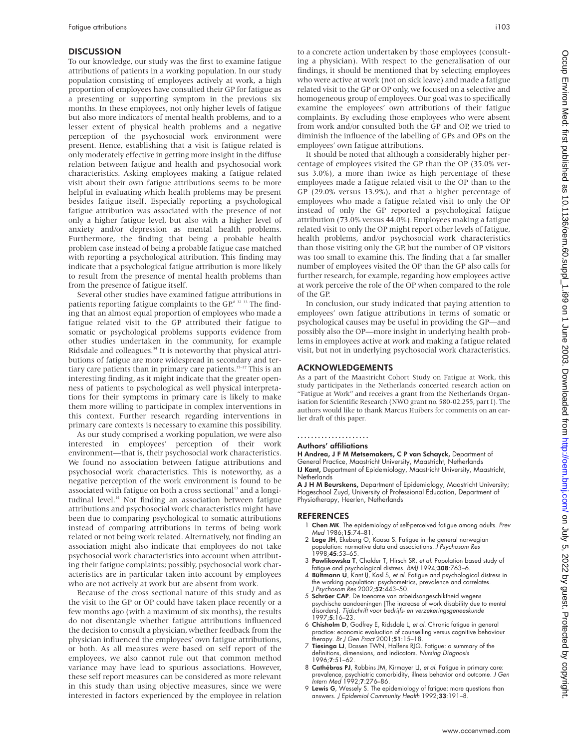## **DISCUSSION**

To our knowledge, our study was the first to examine fatigue attributions of patients in a working population. In our study population consisting of employees actively at work, a high proportion of employees have consulted their GP for fatigue as a presenting or supporting symptom in the previous six months. In these employees, not only higher levels of fatigue but also more indicators of mental health problems, and to a lesser extent of physical health problems and a negative perception of the psychosocial work environment were present. Hence, establishing that a visit is fatigue related is only moderately effective in getting more insight in the diffuse relation between fatigue and health and psychosocial work characteristics. Asking employees making a fatigue related visit about their own fatigue attributions seems to be more helpful in evaluating which health problems may be present besides fatigue itself. Especially reporting a psychological fatigue attribution was associated with the presence of not only a higher fatigue level, but also with a higher level of anxiety and/or depression as mental health problems. Furthermore, the finding that being a probable health problem case instead of being a probable fatigue case matched with reporting a psychological attribution. This finding may indicate that a psychological fatigue attribution is more likely to result from the presence of mental health problems than from the presence of fatigue itself.

Several other studies have examined fatigue attributions in patients reporting fatigue complaints to the GP.<sup>8 32 33</sup> The finding that an almost equal proportion of employees who made a fatigue related visit to the GP attributed their fatigue to somatic or psychological problems supports evidence from other studies undertaken in the community, for example Ridsdale and colleagues.34 It is noteworthy that physical attributions of fatigue are more widespread in secondary and tertiary care patients than in primary care patients. $35-37$  This is an interesting finding, as it might indicate that the greater openness of patients to psychological as well physical interpretations for their symptoms in primary care is likely to make them more willing to participate in complex interventions in this context. Further research regarding interventions in primary care contexts is necessary to examine this possibility.

As our study comprised a working population, we were also interested in employees' perception of their work environment—that is, their psychosocial work characteristics. We found no association between fatigue attributions and psychosocial work characteristics. This is noteworthy, as a negative perception of the work environment is found to be associated with fatigue on both a cross sectional<sup>13</sup> and a longitudinal level.<sup>14</sup> Not finding an association between fatigue attributions and psychosocial work characteristics might have been due to comparing psychological to somatic attributions instead of comparing attributions in terms of being work related or not being work related. Alternatively, not finding an association might also indicate that employees do not take psychosocial work characteristics into account when attributing their fatigue complaints; possibly, psychosocial work characteristics are in particular taken into account by employees who are not actively at work but are absent from work.

Because of the cross sectional nature of this study and as the visit to the GP or OP could have taken place recently or a few months ago (with a maximum of six months), the results do not disentangle whether fatigue attributions influenced the decision to consult a physician, whether feedback from the physician influenced the employees' own fatigue attributions, or both. As all measures were based on self report of the employees, we also cannot rule out that common method variance may have lead to spurious associations. However, these self report measures can be considered as more relevant in this study than using objective measures, since we were interested in factors experienced by the employee in relation

to a concrete action undertaken by those employees (consulting a physician). With respect to the generalisation of our findings, it should be mentioned that by selecting employees who were active at work (not on sick leave) and made a fatigue related visit to the GP or OP only, we focused on a selective and homogeneous group of employees. Our goal was to specifically examine the employees' own attributions of their fatigue complaints. By excluding those employees who were absent from work and/or consulted both the GP and OP, we tried to diminish the influence of the labelling of GPs and OPs on the employees' own fatigue attributions.

It should be noted that although a considerably higher percentage of employees visited the GP than the OP (35.0% versus 3.0%), a more than twice as high percentage of these employees made a fatigue related visit to the OP than to the GP (29.0% versus 13.9%), and that a higher percentage of employees who made a fatigue related visit to only the OP instead of only the GP reported a psychological fatigue attribution (73.0% versus 44.0%). Employees making a fatigue related visit to only the OP might report other levels of fatigue, health problems, and/or psychosocial work characteristics than those visiting only the GP, but the number of OP visitors was too small to examine this. The finding that a far smaller number of employees visited the OP than the GP also calls for further research, for example, regarding how employees active at work perceive the role of the OP when compared to the role of the GP.

In conclusion, our study indicated that paying attention to employees' own fatigue attributions in terms of somatic or psychological causes may be useful in providing the GP—and possibly also the OP—more insight in underlying health problems in employees active at work and making a fatigue related visit, but not in underlying psychosocial work characteristics.

## ACKNOWLEDGEMENTS

As a part of the Maastricht Cohort Study on Fatigue at Work, this study participates in the Netherlands concerted research action on "Fatigue at Work" and receives a grant from the Netherlands Organisation for Scientific Research (NWO grant no. 580-02.255, part I). The authors would like to thank Marcus Huibers for comments on an earlier draft of this paper.

## .....................

## Authors' affiliations

H Andrea, J F M Metsemakers, C P van Schayck, Department of General Practice, Maastricht University, Maastricht, Netherlands IJ Kant, Department of Epidemiology, Maastricht University, Maastricht, Netherlands

**A J H M Beurskens,** Department of Epidemiology, Maastricht University;<br>Hogeschool Zuyd, University of Professional Education, Department of Physiotherapy, Heerlen, Netherlands

#### REFERENCES

- 1 Chen MK. The epidemiology of self-perceived fatigue among adults. Prev Med 1986;15:74–81.
- 2 Loge JH, Ekeberg O, Kaasa S. Fatigue in the general norwegian population: normative data and associations. J Psychosom Res 1998;45:53–65.
- 3 Pawlikowska T, Chalder T, Hirsch SR, et al. Population based study of fatigue and psychological distress. BMJ 1994;308:763-6.
- 4 Bültmann U, Kant IJ, Kasl S, et al. Fatigue and psychological distress in the working population: psychometrics, prevalence and correlates. J Psychosom Res 2002;52:443–50.
- 5 Schröer CAP. De toename van arbeidsongeschiktheid wegens psychische aandoeningen [The increase of work disability due to mental disorders]. Tijdschrift voor bedrijfs- en verzekeringsgeneeskunde  $1997.5.16 - 23$
- 6 Chisholm D, Godfrey E, Ridsdale L, et al. Chronic fatigue in general practice: economic evaluation of counselling versus cognitive behaviour therapy. Br J Gen Pract 2001;51:15–18.
- 7 Tiesinga LJ, Dassen TWN, Halfens RJG. Fatigue: a summary of the definitions, dimensions, and indicators. Nursing Diagnosis  $1996.7.51 - 62$
- 8 Cathébras PJ, Robbins JM, Kirmayer LJ, et al. Fatigue in primary care: prevalence, psychiatric comorbidity, illness behavior and outcome. *J Gen*<br>I*ntern Med* 1992;**7**:276–86.
- 9 Lewis G, Wessely S. The epidemiology of fatigue: more questions than answers. J Epidemiol Community Health 1992;33:191-8.